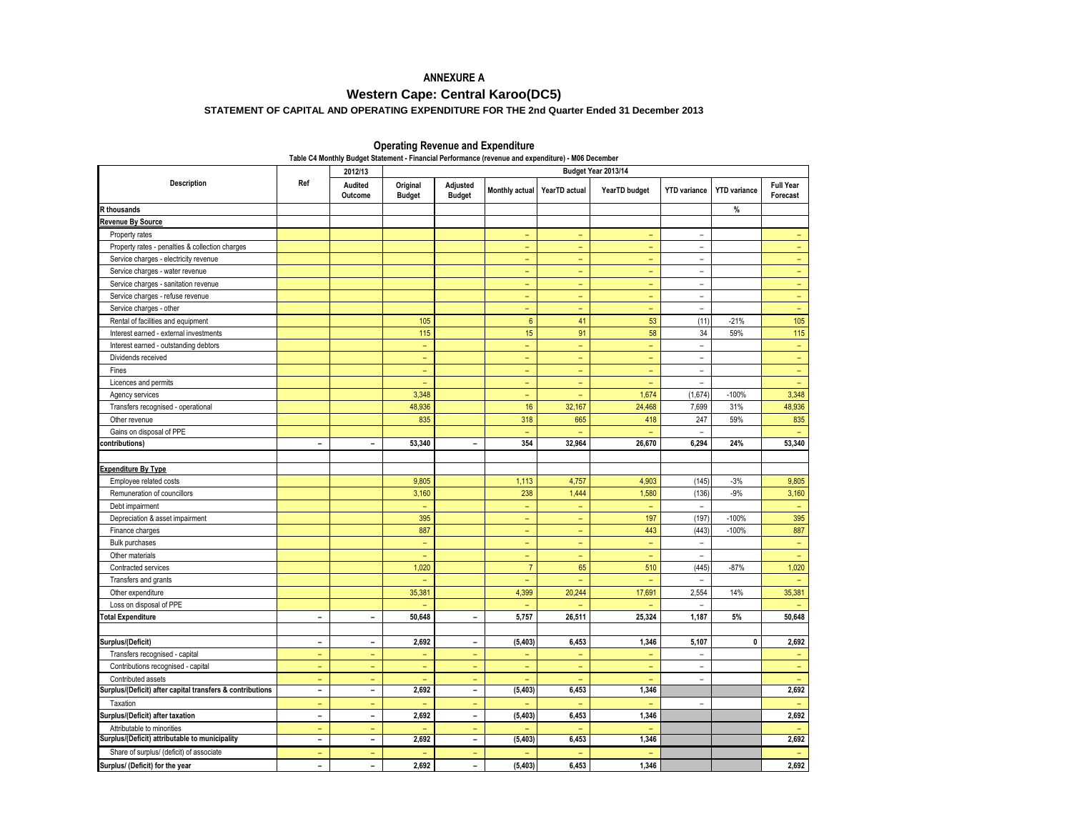# **ANNEXURE A**

# **Western Cape: Central Karoo(DC5)**

# **STATEMENT OF CAPITAL AND OPERATING EXPENDITURE FOR THE 2nd Quarter Ended 31 December 2013**

| Table C4 Monthly Budget Statement - Financial Performance (revenue and expenditure) - M06 December |                          |                                |                           |                              |                          |                          |               |                          |                     |                              |  |  |
|----------------------------------------------------------------------------------------------------|--------------------------|--------------------------------|---------------------------|------------------------------|--------------------------|--------------------------|---------------|--------------------------|---------------------|------------------------------|--|--|
|                                                                                                    |                          | Budget Year 2013/14<br>2012/13 |                           |                              |                          |                          |               |                          |                     |                              |  |  |
| <b>Description</b>                                                                                 | Ref                      | Audited<br>Outcome             | Original<br><b>Budget</b> | Adjusted<br><b>Budget</b>    | Monthly actual           | YearTD actual            | YearTD budget | <b>YTD</b> variance      | <b>YTD</b> variance | <b>Full Year</b><br>Forecast |  |  |
| <b>R</b> thousands                                                                                 |                          |                                |                           |                              |                          |                          |               |                          | %                   |                              |  |  |
| <b>Revenue By Source</b>                                                                           |                          |                                |                           |                              |                          |                          |               |                          |                     |                              |  |  |
| Property rates                                                                                     |                          |                                |                           |                              | L.                       | ÷                        | L.            | $\overline{a}$           |                     |                              |  |  |
| Property rates - penalties & collection charges                                                    |                          |                                |                           |                              | $\equiv$                 | $\equiv$                 | $\equiv$      | $\overline{\phantom{a}}$ |                     | $\equiv$                     |  |  |
| Service charges - electricity revenue                                                              |                          |                                |                           |                              | ÷,                       | ٠                        | ÷,            | $\overline{\phantom{0}}$ |                     | $\equiv$                     |  |  |
| Service charges - water revenue                                                                    |                          |                                |                           |                              | $\equiv$                 | $\equiv$                 | $\equiv$      | $\overline{\phantom{a}}$ |                     | $\equiv$                     |  |  |
| Service charges - sanitation revenue                                                               |                          |                                |                           |                              | ÷,                       | $\equiv$                 | ÷,            | $\overline{\phantom{a}}$ |                     | $\equiv$                     |  |  |
| Service charges - refuse revenue                                                                   |                          |                                |                           |                              | ÷,                       | $\equiv$                 | $\equiv$      | $\overline{\phantom{a}}$ |                     | $\equiv$                     |  |  |
| Service charges - other                                                                            |                          |                                |                           |                              | -                        | $\overline{\phantom{a}}$ | $\equiv$      | ÷.                       |                     | $\equiv$                     |  |  |
| Rental of facilities and equipment                                                                 |                          |                                | 105                       |                              | $6\phantom{a}$           | 41                       | 53            | (11)                     | $-21%$              | 105                          |  |  |
| Interest earned - external investments                                                             |                          |                                | 115                       |                              | 15 <sub>15</sub>         | 91                       | 58            | 34                       | 59%                 | 115                          |  |  |
| Interest earned - outstanding debtors                                                              |                          |                                | $\equiv$                  |                              | ÷.                       | $\equiv$                 | $\equiv$      | $\sim$                   |                     | $\equiv$                     |  |  |
| Dividends received                                                                                 |                          |                                | $\qquad \qquad -$         |                              | ۳                        | ٠                        | ÷             | $\equiv$                 |                     | $\equiv$                     |  |  |
| Fines                                                                                              |                          |                                | $\overline{\phantom{a}}$  |                              | ÷                        | $\overline{\phantom{a}}$ | $\equiv$      | $\overline{\phantom{a}}$ |                     | $\qquad \qquad -$            |  |  |
| Licences and permits                                                                               |                          |                                | ۳                         |                              | ۳                        | $\overline{\phantom{0}}$ | $\equiv$      | $\overline{\phantom{a}}$ |                     | $\equiv$                     |  |  |
| Agency services                                                                                    |                          |                                | 3,348                     |                              | ۳                        | ٠                        | 1,674         | (1,674)                  | $-100%$             | 3,348                        |  |  |
| Transfers recognised - operational                                                                 |                          |                                | 48,936                    |                              | 16                       | 32,167                   | 24,468        | 7,699                    | 31%                 | 48,936                       |  |  |
| Other revenue                                                                                      |                          |                                | 835                       |                              | 318                      | 665                      | 418           | 247                      | 59%                 | 835                          |  |  |
| Gains on disposal of PPE                                                                           |                          |                                |                           |                              | $\overline{a}$           |                          |               | $\overline{\phantom{a}}$ |                     |                              |  |  |
| contributions)                                                                                     | $\overline{\phantom{a}}$ | $\overline{\phantom{0}}$       | 53,340                    | $\blacksquare$               | 354                      | 32,964                   | 26,670        | 6,294                    | 24%                 | 53,340                       |  |  |
|                                                                                                    |                          |                                |                           |                              |                          |                          |               |                          |                     |                              |  |  |
| <b>Expenditure By Type</b>                                                                         |                          |                                |                           |                              |                          |                          |               |                          |                     |                              |  |  |
| Employee related costs                                                                             |                          |                                | 9,805                     |                              | 1,113                    | 4,757                    | 4,903         | (145)                    | $-3%$               | 9,805                        |  |  |
| Remuneration of councillors                                                                        |                          |                                | 3,160                     |                              | 238                      | 1,444                    | 1,580         | (136)                    | $-9%$               | 3,160                        |  |  |
| Debt impairment                                                                                    |                          |                                | ÷,                        |                              | ÷,                       | ÷,                       | L,            | $\overline{\phantom{a}}$ |                     | ÷,                           |  |  |
| Depreciation & asset impairment                                                                    |                          |                                | 395                       |                              | -                        | $\overline{\phantom{a}}$ | 197           | (197)                    | $-100%$             | 395                          |  |  |
| Finance charges                                                                                    |                          |                                | 887                       |                              | ÷,                       | ٠                        | 443           | (443)                    | $-100%$             | 887                          |  |  |
| <b>Bulk purchases</b>                                                                              |                          |                                | $\overline{\phantom{a}}$  |                              | -                        | $\overline{\phantom{a}}$ | $\equiv$      | ÷.                       |                     | $\equiv$                     |  |  |
| Other materials                                                                                    |                          |                                | ÷,                        |                              | u,                       | ÷                        | $\equiv$      | $\bar{a}$                |                     | $\equiv$                     |  |  |
| Contracted services                                                                                |                          |                                | 1,020                     |                              | $\overline{7}$           | 65                       | 510           | (445)                    | $-87%$              | 1,020                        |  |  |
| Transfers and grants                                                                               |                          |                                | ÷                         |                              | ÷                        | ÷                        | ÷             | $\sim$                   |                     | $\sim$                       |  |  |
| Other expenditure                                                                                  |                          |                                | 35,381                    |                              | 4,399                    | 20,244                   | 17,691        | 2,554                    | 14%                 | 35,381                       |  |  |
| Loss on disposal of PPE                                                                            |                          |                                | $\equiv$                  |                              | $\equiv$                 |                          | $\equiv$      | $\bar{\phantom{a}}$      |                     | $\equiv$                     |  |  |
| <b>Total Expenditure</b>                                                                           | $\blacksquare$           | $\blacksquare$                 | 50,648                    | $\blacksquare$               | 5,757                    | 26,511                   | 25,324        | 1,187                    | 5%                  | 50,648                       |  |  |
|                                                                                                    |                          |                                |                           |                              |                          |                          |               |                          |                     |                              |  |  |
| Surplus/(Deficit)                                                                                  | $\overline{\phantom{0}}$ | $\overline{\phantom{a}}$       | 2,692                     | $\overline{\phantom{0}}$     | (5, 403)                 | 6,453                    | 1,346         | 5,107                    | $\mathbf 0$         | 2,692                        |  |  |
| Transfers recognised - capital                                                                     | $\equiv$                 | $\equiv$                       | ÷,                        | ÷                            | $\equiv$                 | ٠                        | $\equiv$      | $\overline{\phantom{a}}$ |                     | ÷                            |  |  |
| Contributions recognised - capital                                                                 | ÷                        | $\equiv$                       | ÷                         | ÷                            | $\overline{\phantom{a}}$ | ٠                        | $\equiv$      | $\overline{\phantom{a}}$ |                     | ÷                            |  |  |
| Contributed assets                                                                                 | $\equiv$                 | $\equiv$                       | ÷,                        | $\equiv$                     | ÷,                       |                          | $\equiv$      | $\overline{\phantom{a}}$ |                     |                              |  |  |
| Surplus/(Deficit) after capital transfers & contributions                                          | $\blacksquare$           | $\blacksquare$                 | 2,692                     | $\overline{\phantom{0}}$     | (5, 403)                 | 6,453                    | 1,346         |                          |                     | 2,692                        |  |  |
| Taxation                                                                                           | $\equiv$                 | $\equiv$                       | ÷,                        | $\equiv$                     |                          | L,                       | ÷,            | $\overline{\phantom{a}}$ |                     | $\equiv$                     |  |  |
| Surplus/(Deficit) after taxation                                                                   | $\blacksquare$           | $\blacksquare$                 | 2,692                     | $\overline{\phantom{a}}$     | (5, 403)                 | 6,453                    | 1,346         |                          |                     | 2,692                        |  |  |
| Attributable to minorities                                                                         | $\equiv$                 | $\equiv$                       | L,                        | $\equiv$                     |                          |                          | L,            |                          |                     |                              |  |  |
| Surplus/(Deficit) attributable to municipality                                                     | $\blacksquare$           | $\blacksquare$                 | 2,692                     | $\qquad \qquad \blacksquare$ | (5, 403)                 | 6,453                    | 1,346         |                          |                     | 2,692                        |  |  |
| Share of surplus/ (deficit) of associate                                                           | $\qquad \qquad -$        | $\qquad \qquad -$              | $\overline{\phantom{0}}$  | $\overline{\phantom{0}}$     |                          |                          | ۳             |                          |                     | $\equiv$                     |  |  |
| Surplus/ (Deficit) for the year                                                                    | $\blacksquare$           | $\sim$                         | 2,692                     | $\qquad \qquad \blacksquare$ | (5, 403)                 | 6,453                    | 1,346         |                          |                     | 2,692                        |  |  |

### **Operating Revenue and Expenditure**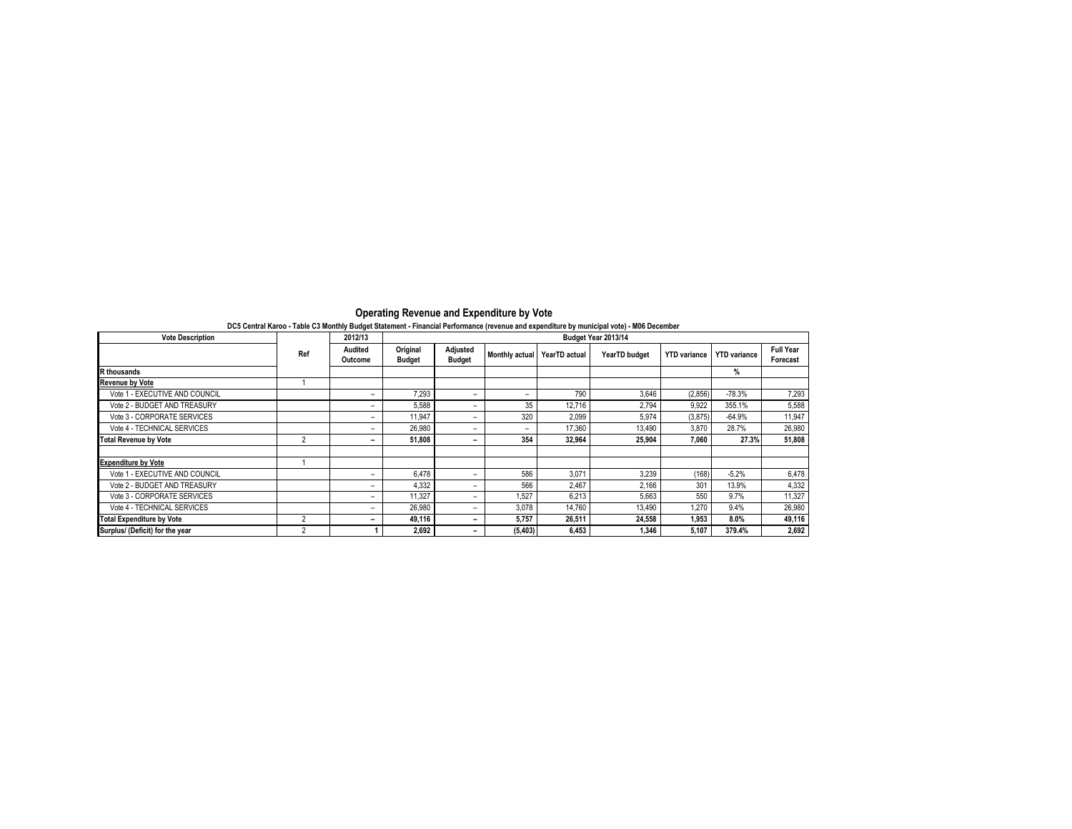| <b>Vote Description</b>          |                | 2012/13            |                           |                           |                          |               | Budget Year 2013/14 |                     |                     |                              |
|----------------------------------|----------------|--------------------|---------------------------|---------------------------|--------------------------|---------------|---------------------|---------------------|---------------------|------------------------------|
|                                  | Ref            | Audited<br>Outcome | Original<br><b>Budget</b> | Adjusted<br><b>Budget</b> | <b>Monthly actual</b>    | YearTD actual | YearTD budget       | <b>YTD</b> variance | <b>YTD</b> variance | <b>Full Year</b><br>Forecast |
| <b>R</b> thousands               |                |                    |                           |                           |                          |               |                     |                     | %                   |                              |
| <b>Revenue by Vote</b>           |                |                    |                           |                           |                          |               |                     |                     |                     |                              |
| Vote 1 - EXECUTIVE AND COUNCIL   |                | -                  | 7,293                     | -                         | $\overline{\phantom{0}}$ | 790           | 3,646               | (2,856)             | $-78.3%$            | 7,293                        |
| Vote 2 - BUDGET AND TREASURY     |                | -                  | 5,588                     | -                         | 35                       | 12.716        | 2.794               | 9,922               | 355.1%              | 5,588                        |
| Vote 3 - CORPORATE SERVICES      |                | -                  | 11.947                    | -                         | 320                      | 2,099         | 5.974               | (3,875)             | $-64.9%$            | 11,947                       |
| Vote 4 - TECHNICAL SERVICES      |                |                    | 26,980                    | -                         | -                        | 17.360        | 13.490              | 3.870               | 28.7%               | 26,980                       |
| <b>Total Revenue by Vote</b>     | $\overline{2}$ |                    | 51,808                    |                           | 354                      | 32.964        | 25.904              | 7.060               | 27.3%               | 51,808                       |
| <b>Expenditure by Vote</b>       |                |                    |                           |                           |                          |               |                     |                     |                     |                              |
| Vote 1 - EXECUTIVE AND COUNCIL   |                | -                  | 6.478                     | -                         | 586                      | 3,071         | 3.239               | (168)               | $-5.2%$             | 6,478                        |
| Vote 2 - BUDGET AND TREASURY     |                | -                  | 4.332                     | -                         | 566                      | 2.467         | 2.166               | 301                 | 13.9%               | 4,332                        |
| Vote 3 - CORPORATE SERVICES      |                | -                  | 11.327                    | -                         | 1.527                    | 6,213         | 5.663               | 550                 | 9.7%                | 11,327                       |
| Vote 4 - TECHNICAL SERVICES      |                | -                  | 26,980                    | -                         | 3.078                    | 14,760        | 13,490              | 1,270               | 9.4%                | 26,980                       |
| <b>Total Expenditure by Vote</b> | 2              | -                  | 49.116                    | -                         | 5.757                    | 26.511        | 24.558              | 1,953               | 8.0%                | 49,116                       |
| Surplus/ (Deficit) for the year  |                |                    | 2.692                     | -                         | (5, 403)                 | 6.453         | 1.346               | 5.107               | 379.4%              | 2,692                        |

#### **DC5 Central Karoo - Table C3 Monthly Budget Statement - Financial Performance (revenue and expenditure by municipal vote) - M06 December Operating Revenue and Expenditure by Vote**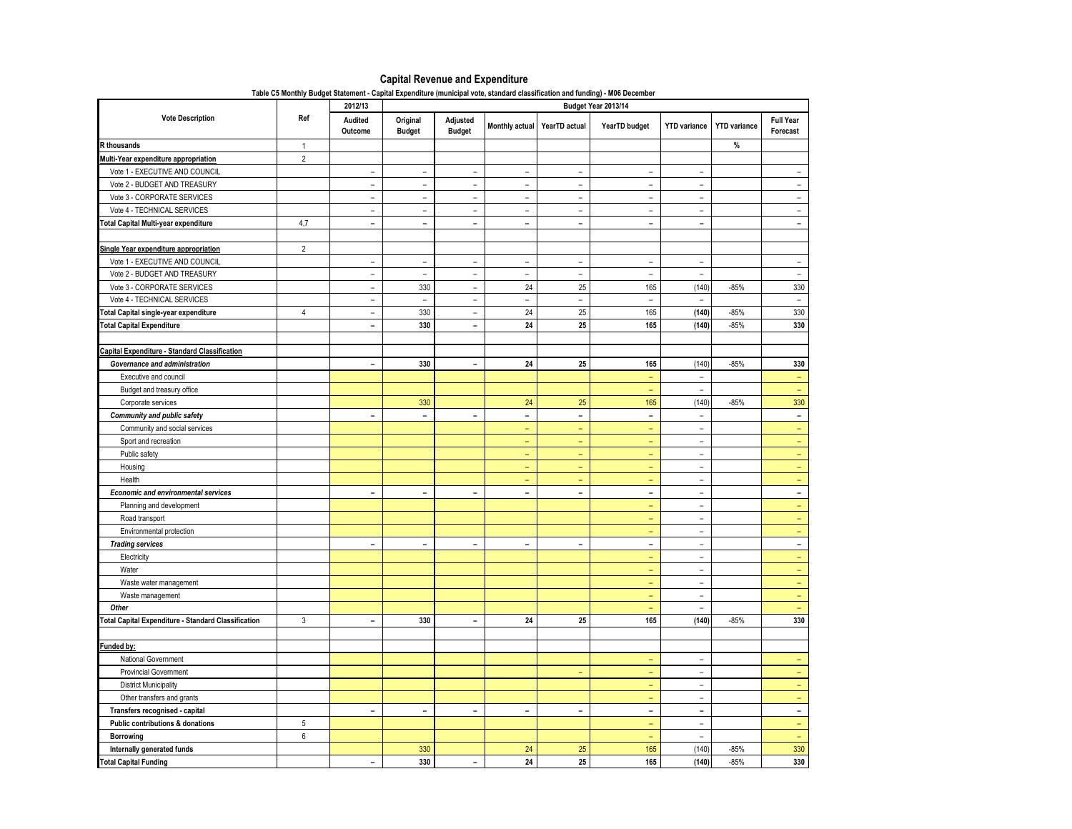# **Capital Revenue and Expenditure**

|  | Table C5 Monthly Budget Statement - Capital Expenditure (municipal vote, standard classification and funding) - M06 December |  |  |  |  |
|--|------------------------------------------------------------------------------------------------------------------------------|--|--|--|--|
|--|------------------------------------------------------------------------------------------------------------------------------|--|--|--|--|

| <b>Vote Description</b><br>Ref<br>Audited<br>Original<br>Adjusted<br><b>Full Year</b><br>Monthly actual YearTD actual<br>YearTD budget<br><b>YTD</b> variance<br><b>YTD</b> variance<br><b>Budget</b><br><b>Budget</b><br>Outcome<br>Forecast<br>$\%$<br><b>R</b> thousands<br>$\mathbf{1}$<br>$\overline{2}$<br>Multi-Year expenditure appropriation<br>Vote 1 - EXECUTIVE AND COUNCIL<br>$\bar{ }$<br>÷,<br>L,<br>÷,<br>$\overline{\phantom{a}}$<br>÷<br>Ξ<br>Vote 2 - BUDGET AND TREASURY<br>$\sim$<br>$\sim$<br>$\overline{a}$<br>$\overline{a}$<br>$\overline{\phantom{0}}$<br>$\overline{a}$<br>÷.<br>$\sim$<br>Vote 3 - CORPORATE SERVICES<br>$\overline{a}$<br>$\overline{\phantom{a}}$<br>$\overline{\phantom{a}}$<br>$\equiv$<br>$\sim$<br>$\equiv$<br>$\equiv$<br>$\overline{a}$<br>Vote 4 - TECHNICAL SERVICES<br>$\overline{\phantom{a}}$<br>$\overline{\phantom{a}}$<br>$\overline{\phantom{a}}$<br>$\overline{\phantom{a}}$<br>$\overline{\phantom{a}}$<br>$\overline{\phantom{a}}$<br>$\overline{\phantom{m}}$<br>$\overline{\phantom{a}}$<br>4,7<br>$\overline{a}$<br><b>Fotal Capital Multi-year expenditure</b><br>$\overline{\phantom{0}}$<br>$\blacksquare$<br>$\blacksquare$<br>$\blacksquare$<br>$\sim$<br>$\blacksquare$<br>$\sim$<br>$\overline{2}$<br>Single Year expenditure appropriation<br>Vote 1 - EXECUTIVE AND COUNCIL<br>L,<br>$\overline{\phantom{a}}$<br>$\overline{\phantom{a}}$<br>$\bar{ }$<br>$\overline{\phantom{a}}$<br>$\overline{\phantom{a}}$<br>Ξ<br>$\sim$<br>Vote 2 - BUDGET AND TREASURY<br>$\sim$<br>$\equiv$<br>$\overline{a}$<br>$\frac{1}{2}$<br>$\frac{1}{2}$<br>$\frac{1}{2}$<br>$\overline{\phantom{a}}$<br>$\sim$<br>Vote 3 - CORPORATE SERVICES<br>330<br>24<br>25<br>165<br>(140)<br>330<br>$-85%$<br>$\overline{a}$<br>$\overline{a}$<br>Vote 4 - TECHNICAL SERVICES<br>$\overline{a}$<br>$\overline{\phantom{a}}$<br>$\overline{\phantom{a}}$<br>$\overline{\phantom{0}}$<br>$\overline{\phantom{a}}$<br>$\overline{\phantom{a}}$<br>$\sim$<br>$\sim$<br>24<br>25<br>165<br>330<br><b>Fotal Capital single-year expenditure</b><br>$\overline{4}$<br>330<br>(140)<br>$-85%$<br>$\overline{\phantom{a}}$<br>$\overline{\phantom{0}}$<br>24<br>25<br><b>Total Capital Expenditure</b><br>330<br>165<br>(140)<br>$-85%$<br>330<br>$\blacksquare$<br>$\blacksquare$<br><b>Capital Expenditure - Standard Classification</b><br>$-85%$<br>330<br>24<br>25<br>165<br>(140)<br>330<br>Governance and administration<br>$\overline{\phantom{0}}$<br>$\overline{\phantom{0}}$<br>Executive and council<br>$\equiv$<br>$\overline{\phantom{a}}$<br>$\overline{\phantom{a}}$<br>$\overline{\phantom{a}}$<br>Budget and treasury office<br>$\equiv$<br>$\equiv$<br>25<br>(140)<br>330<br>Corporate services<br>330<br>24<br>165<br>$-85%$<br>$\equiv$<br><b>Community and public safety</b><br>$\blacksquare$<br>$\blacksquare$<br>$\blacksquare$<br>$\blacksquare$<br>$\frac{1}{2}$<br>$\blacksquare$<br>$\overline{\phantom{a}}$<br>Community and social services<br>$\equiv$<br>$\equiv$<br>$\equiv$<br>÷.<br>$\equiv$<br>Sport and recreation<br>Ξ<br>$\overline{\phantom{a}}$<br>$\equiv$<br>$\equiv$<br>$\equiv$<br>Public safety<br>÷<br>$\equiv$<br>$\overline{a}$<br>$\equiv$<br>$\overline{\phantom{0}}$<br>Housing<br>÷,<br>$\equiv$<br>$\equiv$<br>Ξ<br>Health<br>÷<br>$\sim$<br>÷.<br>÷.<br>$\sim$<br><b>Economic and environmental services</b><br>$\overline{\phantom{a}}$<br>$\qquad \qquad \blacksquare$<br>$\overline{\phantom{a}}$<br>$\qquad \qquad \blacksquare$<br>$\qquad \qquad \blacksquare$<br>$\blacksquare$<br>$\blacksquare$<br>$\overline{\phantom{a}}$<br>Planning and development<br>$\equiv$<br>$\overline{\phantom{a}}$<br>$\equiv$<br>Road transport<br>$\overline{a}$<br>$\equiv$<br>$\sim$<br>Environmental protection<br>$\overline{\phantom{a}}$<br>$\overline{\phantom{a}}$<br>$\equiv$<br><b>Trading services</b><br>$\blacksquare$<br>$\blacksquare$<br>$\qquad \qquad \blacksquare$<br>$\blacksquare$<br>$\blacksquare$<br>÷<br>$\overline{\phantom{0}}$<br>$\overline{\phantom{a}}$<br>Electricity<br>$\frac{1}{2}$<br>$\equiv$<br>÷,<br>Water<br>$\sim$<br>÷.<br>$\sim$<br>Waste water management<br>$\equiv$<br>$\equiv$<br>$\overline{\phantom{a}}$<br>Waste management<br>$\equiv$<br>$\frac{1}{2}$<br>$\sim$<br>Other<br>$\equiv$<br>$\overline{\phantom{a}}$<br>3<br>330<br>24<br>25<br>165<br>(140)<br>$-85%$<br>330<br><b>Total Capital Expenditure - Standard Classification</b><br>$\equiv$<br>$\sim$<br>Funded by:<br>National Government<br>L,<br>÷<br>÷,<br><b>Provincial Government</b><br>÷<br>$\equiv$<br>÷,<br>$\equiv$<br><b>District Municipality</b><br>$\equiv$<br>$\bar{ }$<br>$\equiv$<br>Other transfers and grants<br>÷<br>$\overline{a}$<br>$\equiv$<br>Transfers recognised - capital<br>$\blacksquare$<br>$\blacksquare$<br>$\blacksquare$<br>$\blacksquare$<br>$\blacksquare$<br>$\blacksquare$<br>$\equiv$<br>$\sim$<br>Public contributions & donations<br>5<br>$\qquad \qquad -$<br>$\overline{\phantom{0}}$<br>۰<br>6<br>Borrowing<br>$\equiv$<br>$\equiv$<br>$\sim$<br>(140)<br>330<br>330<br>24<br>25<br>165<br>$-85%$<br>Internally generated funds |                              | 2012/13        |     |                |    |    | Budget Year 2013/14 |       |        |     |
|--------------------------------------------------------------------------------------------------------------------------------------------------------------------------------------------------------------------------------------------------------------------------------------------------------------------------------------------------------------------------------------------------------------------------------------------------------------------------------------------------------------------------------------------------------------------------------------------------------------------------------------------------------------------------------------------------------------------------------------------------------------------------------------------------------------------------------------------------------------------------------------------------------------------------------------------------------------------------------------------------------------------------------------------------------------------------------------------------------------------------------------------------------------------------------------------------------------------------------------------------------------------------------------------------------------------------------------------------------------------------------------------------------------------------------------------------------------------------------------------------------------------------------------------------------------------------------------------------------------------------------------------------------------------------------------------------------------------------------------------------------------------------------------------------------------------------------------------------------------------------------------------------------------------------------------------------------------------------------------------------------------------------------------------------------------------------------------------------------------------------------------------------------------------------------------------------------------------------------------------------------------------------------------------------------------------------------------------------------------------------------------------------------------------------------------------------------------------------------------------------------------------------------------------------------------------------------------------------------------------------------------------------------------------------------------------------------------------------------------------------------------------------------------------------------------------------------------------------------------------------------------------------------------------------------------------------------------------------------------------------------------------------------------------------------------------------------------------------------------------------------------------------------------------------------------------------------------------------------------------------------------------------------------------------------------------------------------------------------------------------------------------------------------------------------------------------------------------------------------------------------------------------------------------------------------------------------------------------------------------------------------------------------------------------------------------------------------------------------------------------------------------------------------------------------------------------------------------------------------------------------------------------------------------------------------------------------------------------------------------------------------------------------------------------------------------------------------------------------------------------------------------------------------------------------------------------------------------------------------------------------------------------------------------------------------------------------------------------------------------------------------------------------------------------------------------------------------------------------------------------------------------------------------------------------------------------------------------------------------------------------------------------------------------------------------------------------------------------------------------------------------------------------------------------------------------------------------------------------------------------------------------------------------------------------------------------------------------------------------------------------------------------------------------------------------------------------------------------------------------------------------------------------------------------------------|------------------------------|----------------|-----|----------------|----|----|---------------------|-------|--------|-----|
|                                                                                                                                                                                                                                                                                                                                                                                                                                                                                                                                                                                                                                                                                                                                                                                                                                                                                                                                                                                                                                                                                                                                                                                                                                                                                                                                                                                                                                                                                                                                                                                                                                                                                                                                                                                                                                                                                                                                                                                                                                                                                                                                                                                                                                                                                                                                                                                                                                                                                                                                                                                                                                                                                                                                                                                                                                                                                                                                                                                                                                                                                                                                                                                                                                                                                                                                                                                                                                                                                                                                                                                                                                                                                                                                                                                                                                                                                                                                                                                                                                                                                                                                                                                                                                                                                                                                                                                                                                                                                                                                                                                                                                                                                                                                                                                                                                                                                                                                                                                                                                                                                                                                                                                      |                              |                |     |                |    |    |                     |       |        |     |
|                                                                                                                                                                                                                                                                                                                                                                                                                                                                                                                                                                                                                                                                                                                                                                                                                                                                                                                                                                                                                                                                                                                                                                                                                                                                                                                                                                                                                                                                                                                                                                                                                                                                                                                                                                                                                                                                                                                                                                                                                                                                                                                                                                                                                                                                                                                                                                                                                                                                                                                                                                                                                                                                                                                                                                                                                                                                                                                                                                                                                                                                                                                                                                                                                                                                                                                                                                                                                                                                                                                                                                                                                                                                                                                                                                                                                                                                                                                                                                                                                                                                                                                                                                                                                                                                                                                                                                                                                                                                                                                                                                                                                                                                                                                                                                                                                                                                                                                                                                                                                                                                                                                                                                                      |                              |                |     |                |    |    |                     |       |        |     |
|                                                                                                                                                                                                                                                                                                                                                                                                                                                                                                                                                                                                                                                                                                                                                                                                                                                                                                                                                                                                                                                                                                                                                                                                                                                                                                                                                                                                                                                                                                                                                                                                                                                                                                                                                                                                                                                                                                                                                                                                                                                                                                                                                                                                                                                                                                                                                                                                                                                                                                                                                                                                                                                                                                                                                                                                                                                                                                                                                                                                                                                                                                                                                                                                                                                                                                                                                                                                                                                                                                                                                                                                                                                                                                                                                                                                                                                                                                                                                                                                                                                                                                                                                                                                                                                                                                                                                                                                                                                                                                                                                                                                                                                                                                                                                                                                                                                                                                                                                                                                                                                                                                                                                                                      |                              |                |     |                |    |    |                     |       |        |     |
|                                                                                                                                                                                                                                                                                                                                                                                                                                                                                                                                                                                                                                                                                                                                                                                                                                                                                                                                                                                                                                                                                                                                                                                                                                                                                                                                                                                                                                                                                                                                                                                                                                                                                                                                                                                                                                                                                                                                                                                                                                                                                                                                                                                                                                                                                                                                                                                                                                                                                                                                                                                                                                                                                                                                                                                                                                                                                                                                                                                                                                                                                                                                                                                                                                                                                                                                                                                                                                                                                                                                                                                                                                                                                                                                                                                                                                                                                                                                                                                                                                                                                                                                                                                                                                                                                                                                                                                                                                                                                                                                                                                                                                                                                                                                                                                                                                                                                                                                                                                                                                                                                                                                                                                      |                              |                |     |                |    |    |                     |       |        |     |
|                                                                                                                                                                                                                                                                                                                                                                                                                                                                                                                                                                                                                                                                                                                                                                                                                                                                                                                                                                                                                                                                                                                                                                                                                                                                                                                                                                                                                                                                                                                                                                                                                                                                                                                                                                                                                                                                                                                                                                                                                                                                                                                                                                                                                                                                                                                                                                                                                                                                                                                                                                                                                                                                                                                                                                                                                                                                                                                                                                                                                                                                                                                                                                                                                                                                                                                                                                                                                                                                                                                                                                                                                                                                                                                                                                                                                                                                                                                                                                                                                                                                                                                                                                                                                                                                                                                                                                                                                                                                                                                                                                                                                                                                                                                                                                                                                                                                                                                                                                                                                                                                                                                                                                                      |                              |                |     |                |    |    |                     |       |        |     |
|                                                                                                                                                                                                                                                                                                                                                                                                                                                                                                                                                                                                                                                                                                                                                                                                                                                                                                                                                                                                                                                                                                                                                                                                                                                                                                                                                                                                                                                                                                                                                                                                                                                                                                                                                                                                                                                                                                                                                                                                                                                                                                                                                                                                                                                                                                                                                                                                                                                                                                                                                                                                                                                                                                                                                                                                                                                                                                                                                                                                                                                                                                                                                                                                                                                                                                                                                                                                                                                                                                                                                                                                                                                                                                                                                                                                                                                                                                                                                                                                                                                                                                                                                                                                                                                                                                                                                                                                                                                                                                                                                                                                                                                                                                                                                                                                                                                                                                                                                                                                                                                                                                                                                                                      |                              |                |     |                |    |    |                     |       |        |     |
|                                                                                                                                                                                                                                                                                                                                                                                                                                                                                                                                                                                                                                                                                                                                                                                                                                                                                                                                                                                                                                                                                                                                                                                                                                                                                                                                                                                                                                                                                                                                                                                                                                                                                                                                                                                                                                                                                                                                                                                                                                                                                                                                                                                                                                                                                                                                                                                                                                                                                                                                                                                                                                                                                                                                                                                                                                                                                                                                                                                                                                                                                                                                                                                                                                                                                                                                                                                                                                                                                                                                                                                                                                                                                                                                                                                                                                                                                                                                                                                                                                                                                                                                                                                                                                                                                                                                                                                                                                                                                                                                                                                                                                                                                                                                                                                                                                                                                                                                                                                                                                                                                                                                                                                      |                              |                |     |                |    |    |                     |       |        |     |
|                                                                                                                                                                                                                                                                                                                                                                                                                                                                                                                                                                                                                                                                                                                                                                                                                                                                                                                                                                                                                                                                                                                                                                                                                                                                                                                                                                                                                                                                                                                                                                                                                                                                                                                                                                                                                                                                                                                                                                                                                                                                                                                                                                                                                                                                                                                                                                                                                                                                                                                                                                                                                                                                                                                                                                                                                                                                                                                                                                                                                                                                                                                                                                                                                                                                                                                                                                                                                                                                                                                                                                                                                                                                                                                                                                                                                                                                                                                                                                                                                                                                                                                                                                                                                                                                                                                                                                                                                                                                                                                                                                                                                                                                                                                                                                                                                                                                                                                                                                                                                                                                                                                                                                                      |                              |                |     |                |    |    |                     |       |        |     |
|                                                                                                                                                                                                                                                                                                                                                                                                                                                                                                                                                                                                                                                                                                                                                                                                                                                                                                                                                                                                                                                                                                                                                                                                                                                                                                                                                                                                                                                                                                                                                                                                                                                                                                                                                                                                                                                                                                                                                                                                                                                                                                                                                                                                                                                                                                                                                                                                                                                                                                                                                                                                                                                                                                                                                                                                                                                                                                                                                                                                                                                                                                                                                                                                                                                                                                                                                                                                                                                                                                                                                                                                                                                                                                                                                                                                                                                                                                                                                                                                                                                                                                                                                                                                                                                                                                                                                                                                                                                                                                                                                                                                                                                                                                                                                                                                                                                                                                                                                                                                                                                                                                                                                                                      |                              |                |     |                |    |    |                     |       |        |     |
|                                                                                                                                                                                                                                                                                                                                                                                                                                                                                                                                                                                                                                                                                                                                                                                                                                                                                                                                                                                                                                                                                                                                                                                                                                                                                                                                                                                                                                                                                                                                                                                                                                                                                                                                                                                                                                                                                                                                                                                                                                                                                                                                                                                                                                                                                                                                                                                                                                                                                                                                                                                                                                                                                                                                                                                                                                                                                                                                                                                                                                                                                                                                                                                                                                                                                                                                                                                                                                                                                                                                                                                                                                                                                                                                                                                                                                                                                                                                                                                                                                                                                                                                                                                                                                                                                                                                                                                                                                                                                                                                                                                                                                                                                                                                                                                                                                                                                                                                                                                                                                                                                                                                                                                      |                              |                |     |                |    |    |                     |       |        |     |
|                                                                                                                                                                                                                                                                                                                                                                                                                                                                                                                                                                                                                                                                                                                                                                                                                                                                                                                                                                                                                                                                                                                                                                                                                                                                                                                                                                                                                                                                                                                                                                                                                                                                                                                                                                                                                                                                                                                                                                                                                                                                                                                                                                                                                                                                                                                                                                                                                                                                                                                                                                                                                                                                                                                                                                                                                                                                                                                                                                                                                                                                                                                                                                                                                                                                                                                                                                                                                                                                                                                                                                                                                                                                                                                                                                                                                                                                                                                                                                                                                                                                                                                                                                                                                                                                                                                                                                                                                                                                                                                                                                                                                                                                                                                                                                                                                                                                                                                                                                                                                                                                                                                                                                                      |                              |                |     |                |    |    |                     |       |        |     |
|                                                                                                                                                                                                                                                                                                                                                                                                                                                                                                                                                                                                                                                                                                                                                                                                                                                                                                                                                                                                                                                                                                                                                                                                                                                                                                                                                                                                                                                                                                                                                                                                                                                                                                                                                                                                                                                                                                                                                                                                                                                                                                                                                                                                                                                                                                                                                                                                                                                                                                                                                                                                                                                                                                                                                                                                                                                                                                                                                                                                                                                                                                                                                                                                                                                                                                                                                                                                                                                                                                                                                                                                                                                                                                                                                                                                                                                                                                                                                                                                                                                                                                                                                                                                                                                                                                                                                                                                                                                                                                                                                                                                                                                                                                                                                                                                                                                                                                                                                                                                                                                                                                                                                                                      |                              |                |     |                |    |    |                     |       |        |     |
|                                                                                                                                                                                                                                                                                                                                                                                                                                                                                                                                                                                                                                                                                                                                                                                                                                                                                                                                                                                                                                                                                                                                                                                                                                                                                                                                                                                                                                                                                                                                                                                                                                                                                                                                                                                                                                                                                                                                                                                                                                                                                                                                                                                                                                                                                                                                                                                                                                                                                                                                                                                                                                                                                                                                                                                                                                                                                                                                                                                                                                                                                                                                                                                                                                                                                                                                                                                                                                                                                                                                                                                                                                                                                                                                                                                                                                                                                                                                                                                                                                                                                                                                                                                                                                                                                                                                                                                                                                                                                                                                                                                                                                                                                                                                                                                                                                                                                                                                                                                                                                                                                                                                                                                      |                              |                |     |                |    |    |                     |       |        |     |
|                                                                                                                                                                                                                                                                                                                                                                                                                                                                                                                                                                                                                                                                                                                                                                                                                                                                                                                                                                                                                                                                                                                                                                                                                                                                                                                                                                                                                                                                                                                                                                                                                                                                                                                                                                                                                                                                                                                                                                                                                                                                                                                                                                                                                                                                                                                                                                                                                                                                                                                                                                                                                                                                                                                                                                                                                                                                                                                                                                                                                                                                                                                                                                                                                                                                                                                                                                                                                                                                                                                                                                                                                                                                                                                                                                                                                                                                                                                                                                                                                                                                                                                                                                                                                                                                                                                                                                                                                                                                                                                                                                                                                                                                                                                                                                                                                                                                                                                                                                                                                                                                                                                                                                                      |                              |                |     |                |    |    |                     |       |        |     |
|                                                                                                                                                                                                                                                                                                                                                                                                                                                                                                                                                                                                                                                                                                                                                                                                                                                                                                                                                                                                                                                                                                                                                                                                                                                                                                                                                                                                                                                                                                                                                                                                                                                                                                                                                                                                                                                                                                                                                                                                                                                                                                                                                                                                                                                                                                                                                                                                                                                                                                                                                                                                                                                                                                                                                                                                                                                                                                                                                                                                                                                                                                                                                                                                                                                                                                                                                                                                                                                                                                                                                                                                                                                                                                                                                                                                                                                                                                                                                                                                                                                                                                                                                                                                                                                                                                                                                                                                                                                                                                                                                                                                                                                                                                                                                                                                                                                                                                                                                                                                                                                                                                                                                                                      |                              |                |     |                |    |    |                     |       |        |     |
|                                                                                                                                                                                                                                                                                                                                                                                                                                                                                                                                                                                                                                                                                                                                                                                                                                                                                                                                                                                                                                                                                                                                                                                                                                                                                                                                                                                                                                                                                                                                                                                                                                                                                                                                                                                                                                                                                                                                                                                                                                                                                                                                                                                                                                                                                                                                                                                                                                                                                                                                                                                                                                                                                                                                                                                                                                                                                                                                                                                                                                                                                                                                                                                                                                                                                                                                                                                                                                                                                                                                                                                                                                                                                                                                                                                                                                                                                                                                                                                                                                                                                                                                                                                                                                                                                                                                                                                                                                                                                                                                                                                                                                                                                                                                                                                                                                                                                                                                                                                                                                                                                                                                                                                      |                              |                |     |                |    |    |                     |       |        |     |
|                                                                                                                                                                                                                                                                                                                                                                                                                                                                                                                                                                                                                                                                                                                                                                                                                                                                                                                                                                                                                                                                                                                                                                                                                                                                                                                                                                                                                                                                                                                                                                                                                                                                                                                                                                                                                                                                                                                                                                                                                                                                                                                                                                                                                                                                                                                                                                                                                                                                                                                                                                                                                                                                                                                                                                                                                                                                                                                                                                                                                                                                                                                                                                                                                                                                                                                                                                                                                                                                                                                                                                                                                                                                                                                                                                                                                                                                                                                                                                                                                                                                                                                                                                                                                                                                                                                                                                                                                                                                                                                                                                                                                                                                                                                                                                                                                                                                                                                                                                                                                                                                                                                                                                                      |                              |                |     |                |    |    |                     |       |        |     |
|                                                                                                                                                                                                                                                                                                                                                                                                                                                                                                                                                                                                                                                                                                                                                                                                                                                                                                                                                                                                                                                                                                                                                                                                                                                                                                                                                                                                                                                                                                                                                                                                                                                                                                                                                                                                                                                                                                                                                                                                                                                                                                                                                                                                                                                                                                                                                                                                                                                                                                                                                                                                                                                                                                                                                                                                                                                                                                                                                                                                                                                                                                                                                                                                                                                                                                                                                                                                                                                                                                                                                                                                                                                                                                                                                                                                                                                                                                                                                                                                                                                                                                                                                                                                                                                                                                                                                                                                                                                                                                                                                                                                                                                                                                                                                                                                                                                                                                                                                                                                                                                                                                                                                                                      |                              |                |     |                |    |    |                     |       |        |     |
|                                                                                                                                                                                                                                                                                                                                                                                                                                                                                                                                                                                                                                                                                                                                                                                                                                                                                                                                                                                                                                                                                                                                                                                                                                                                                                                                                                                                                                                                                                                                                                                                                                                                                                                                                                                                                                                                                                                                                                                                                                                                                                                                                                                                                                                                                                                                                                                                                                                                                                                                                                                                                                                                                                                                                                                                                                                                                                                                                                                                                                                                                                                                                                                                                                                                                                                                                                                                                                                                                                                                                                                                                                                                                                                                                                                                                                                                                                                                                                                                                                                                                                                                                                                                                                                                                                                                                                                                                                                                                                                                                                                                                                                                                                                                                                                                                                                                                                                                                                                                                                                                                                                                                                                      |                              |                |     |                |    |    |                     |       |        |     |
|                                                                                                                                                                                                                                                                                                                                                                                                                                                                                                                                                                                                                                                                                                                                                                                                                                                                                                                                                                                                                                                                                                                                                                                                                                                                                                                                                                                                                                                                                                                                                                                                                                                                                                                                                                                                                                                                                                                                                                                                                                                                                                                                                                                                                                                                                                                                                                                                                                                                                                                                                                                                                                                                                                                                                                                                                                                                                                                                                                                                                                                                                                                                                                                                                                                                                                                                                                                                                                                                                                                                                                                                                                                                                                                                                                                                                                                                                                                                                                                                                                                                                                                                                                                                                                                                                                                                                                                                                                                                                                                                                                                                                                                                                                                                                                                                                                                                                                                                                                                                                                                                                                                                                                                      |                              |                |     |                |    |    |                     |       |        |     |
|                                                                                                                                                                                                                                                                                                                                                                                                                                                                                                                                                                                                                                                                                                                                                                                                                                                                                                                                                                                                                                                                                                                                                                                                                                                                                                                                                                                                                                                                                                                                                                                                                                                                                                                                                                                                                                                                                                                                                                                                                                                                                                                                                                                                                                                                                                                                                                                                                                                                                                                                                                                                                                                                                                                                                                                                                                                                                                                                                                                                                                                                                                                                                                                                                                                                                                                                                                                                                                                                                                                                                                                                                                                                                                                                                                                                                                                                                                                                                                                                                                                                                                                                                                                                                                                                                                                                                                                                                                                                                                                                                                                                                                                                                                                                                                                                                                                                                                                                                                                                                                                                                                                                                                                      |                              |                |     |                |    |    |                     |       |        |     |
|                                                                                                                                                                                                                                                                                                                                                                                                                                                                                                                                                                                                                                                                                                                                                                                                                                                                                                                                                                                                                                                                                                                                                                                                                                                                                                                                                                                                                                                                                                                                                                                                                                                                                                                                                                                                                                                                                                                                                                                                                                                                                                                                                                                                                                                                                                                                                                                                                                                                                                                                                                                                                                                                                                                                                                                                                                                                                                                                                                                                                                                                                                                                                                                                                                                                                                                                                                                                                                                                                                                                                                                                                                                                                                                                                                                                                                                                                                                                                                                                                                                                                                                                                                                                                                                                                                                                                                                                                                                                                                                                                                                                                                                                                                                                                                                                                                                                                                                                                                                                                                                                                                                                                                                      |                              |                |     |                |    |    |                     |       |        |     |
|                                                                                                                                                                                                                                                                                                                                                                                                                                                                                                                                                                                                                                                                                                                                                                                                                                                                                                                                                                                                                                                                                                                                                                                                                                                                                                                                                                                                                                                                                                                                                                                                                                                                                                                                                                                                                                                                                                                                                                                                                                                                                                                                                                                                                                                                                                                                                                                                                                                                                                                                                                                                                                                                                                                                                                                                                                                                                                                                                                                                                                                                                                                                                                                                                                                                                                                                                                                                                                                                                                                                                                                                                                                                                                                                                                                                                                                                                                                                                                                                                                                                                                                                                                                                                                                                                                                                                                                                                                                                                                                                                                                                                                                                                                                                                                                                                                                                                                                                                                                                                                                                                                                                                                                      |                              |                |     |                |    |    |                     |       |        |     |
|                                                                                                                                                                                                                                                                                                                                                                                                                                                                                                                                                                                                                                                                                                                                                                                                                                                                                                                                                                                                                                                                                                                                                                                                                                                                                                                                                                                                                                                                                                                                                                                                                                                                                                                                                                                                                                                                                                                                                                                                                                                                                                                                                                                                                                                                                                                                                                                                                                                                                                                                                                                                                                                                                                                                                                                                                                                                                                                                                                                                                                                                                                                                                                                                                                                                                                                                                                                                                                                                                                                                                                                                                                                                                                                                                                                                                                                                                                                                                                                                                                                                                                                                                                                                                                                                                                                                                                                                                                                                                                                                                                                                                                                                                                                                                                                                                                                                                                                                                                                                                                                                                                                                                                                      |                              |                |     |                |    |    |                     |       |        |     |
|                                                                                                                                                                                                                                                                                                                                                                                                                                                                                                                                                                                                                                                                                                                                                                                                                                                                                                                                                                                                                                                                                                                                                                                                                                                                                                                                                                                                                                                                                                                                                                                                                                                                                                                                                                                                                                                                                                                                                                                                                                                                                                                                                                                                                                                                                                                                                                                                                                                                                                                                                                                                                                                                                                                                                                                                                                                                                                                                                                                                                                                                                                                                                                                                                                                                                                                                                                                                                                                                                                                                                                                                                                                                                                                                                                                                                                                                                                                                                                                                                                                                                                                                                                                                                                                                                                                                                                                                                                                                                                                                                                                                                                                                                                                                                                                                                                                                                                                                                                                                                                                                                                                                                                                      |                              |                |     |                |    |    |                     |       |        |     |
|                                                                                                                                                                                                                                                                                                                                                                                                                                                                                                                                                                                                                                                                                                                                                                                                                                                                                                                                                                                                                                                                                                                                                                                                                                                                                                                                                                                                                                                                                                                                                                                                                                                                                                                                                                                                                                                                                                                                                                                                                                                                                                                                                                                                                                                                                                                                                                                                                                                                                                                                                                                                                                                                                                                                                                                                                                                                                                                                                                                                                                                                                                                                                                                                                                                                                                                                                                                                                                                                                                                                                                                                                                                                                                                                                                                                                                                                                                                                                                                                                                                                                                                                                                                                                                                                                                                                                                                                                                                                                                                                                                                                                                                                                                                                                                                                                                                                                                                                                                                                                                                                                                                                                                                      |                              |                |     |                |    |    |                     |       |        |     |
|                                                                                                                                                                                                                                                                                                                                                                                                                                                                                                                                                                                                                                                                                                                                                                                                                                                                                                                                                                                                                                                                                                                                                                                                                                                                                                                                                                                                                                                                                                                                                                                                                                                                                                                                                                                                                                                                                                                                                                                                                                                                                                                                                                                                                                                                                                                                                                                                                                                                                                                                                                                                                                                                                                                                                                                                                                                                                                                                                                                                                                                                                                                                                                                                                                                                                                                                                                                                                                                                                                                                                                                                                                                                                                                                                                                                                                                                                                                                                                                                                                                                                                                                                                                                                                                                                                                                                                                                                                                                                                                                                                                                                                                                                                                                                                                                                                                                                                                                                                                                                                                                                                                                                                                      |                              |                |     |                |    |    |                     |       |        |     |
|                                                                                                                                                                                                                                                                                                                                                                                                                                                                                                                                                                                                                                                                                                                                                                                                                                                                                                                                                                                                                                                                                                                                                                                                                                                                                                                                                                                                                                                                                                                                                                                                                                                                                                                                                                                                                                                                                                                                                                                                                                                                                                                                                                                                                                                                                                                                                                                                                                                                                                                                                                                                                                                                                                                                                                                                                                                                                                                                                                                                                                                                                                                                                                                                                                                                                                                                                                                                                                                                                                                                                                                                                                                                                                                                                                                                                                                                                                                                                                                                                                                                                                                                                                                                                                                                                                                                                                                                                                                                                                                                                                                                                                                                                                                                                                                                                                                                                                                                                                                                                                                                                                                                                                                      |                              |                |     |                |    |    |                     |       |        |     |
|                                                                                                                                                                                                                                                                                                                                                                                                                                                                                                                                                                                                                                                                                                                                                                                                                                                                                                                                                                                                                                                                                                                                                                                                                                                                                                                                                                                                                                                                                                                                                                                                                                                                                                                                                                                                                                                                                                                                                                                                                                                                                                                                                                                                                                                                                                                                                                                                                                                                                                                                                                                                                                                                                                                                                                                                                                                                                                                                                                                                                                                                                                                                                                                                                                                                                                                                                                                                                                                                                                                                                                                                                                                                                                                                                                                                                                                                                                                                                                                                                                                                                                                                                                                                                                                                                                                                                                                                                                                                                                                                                                                                                                                                                                                                                                                                                                                                                                                                                                                                                                                                                                                                                                                      |                              |                |     |                |    |    |                     |       |        |     |
|                                                                                                                                                                                                                                                                                                                                                                                                                                                                                                                                                                                                                                                                                                                                                                                                                                                                                                                                                                                                                                                                                                                                                                                                                                                                                                                                                                                                                                                                                                                                                                                                                                                                                                                                                                                                                                                                                                                                                                                                                                                                                                                                                                                                                                                                                                                                                                                                                                                                                                                                                                                                                                                                                                                                                                                                                                                                                                                                                                                                                                                                                                                                                                                                                                                                                                                                                                                                                                                                                                                                                                                                                                                                                                                                                                                                                                                                                                                                                                                                                                                                                                                                                                                                                                                                                                                                                                                                                                                                                                                                                                                                                                                                                                                                                                                                                                                                                                                                                                                                                                                                                                                                                                                      |                              |                |     |                |    |    |                     |       |        |     |
|                                                                                                                                                                                                                                                                                                                                                                                                                                                                                                                                                                                                                                                                                                                                                                                                                                                                                                                                                                                                                                                                                                                                                                                                                                                                                                                                                                                                                                                                                                                                                                                                                                                                                                                                                                                                                                                                                                                                                                                                                                                                                                                                                                                                                                                                                                                                                                                                                                                                                                                                                                                                                                                                                                                                                                                                                                                                                                                                                                                                                                                                                                                                                                                                                                                                                                                                                                                                                                                                                                                                                                                                                                                                                                                                                                                                                                                                                                                                                                                                                                                                                                                                                                                                                                                                                                                                                                                                                                                                                                                                                                                                                                                                                                                                                                                                                                                                                                                                                                                                                                                                                                                                                                                      |                              |                |     |                |    |    |                     |       |        |     |
|                                                                                                                                                                                                                                                                                                                                                                                                                                                                                                                                                                                                                                                                                                                                                                                                                                                                                                                                                                                                                                                                                                                                                                                                                                                                                                                                                                                                                                                                                                                                                                                                                                                                                                                                                                                                                                                                                                                                                                                                                                                                                                                                                                                                                                                                                                                                                                                                                                                                                                                                                                                                                                                                                                                                                                                                                                                                                                                                                                                                                                                                                                                                                                                                                                                                                                                                                                                                                                                                                                                                                                                                                                                                                                                                                                                                                                                                                                                                                                                                                                                                                                                                                                                                                                                                                                                                                                                                                                                                                                                                                                                                                                                                                                                                                                                                                                                                                                                                                                                                                                                                                                                                                                                      |                              |                |     |                |    |    |                     |       |        |     |
|                                                                                                                                                                                                                                                                                                                                                                                                                                                                                                                                                                                                                                                                                                                                                                                                                                                                                                                                                                                                                                                                                                                                                                                                                                                                                                                                                                                                                                                                                                                                                                                                                                                                                                                                                                                                                                                                                                                                                                                                                                                                                                                                                                                                                                                                                                                                                                                                                                                                                                                                                                                                                                                                                                                                                                                                                                                                                                                                                                                                                                                                                                                                                                                                                                                                                                                                                                                                                                                                                                                                                                                                                                                                                                                                                                                                                                                                                                                                                                                                                                                                                                                                                                                                                                                                                                                                                                                                                                                                                                                                                                                                                                                                                                                                                                                                                                                                                                                                                                                                                                                                                                                                                                                      |                              |                |     |                |    |    |                     |       |        |     |
|                                                                                                                                                                                                                                                                                                                                                                                                                                                                                                                                                                                                                                                                                                                                                                                                                                                                                                                                                                                                                                                                                                                                                                                                                                                                                                                                                                                                                                                                                                                                                                                                                                                                                                                                                                                                                                                                                                                                                                                                                                                                                                                                                                                                                                                                                                                                                                                                                                                                                                                                                                                                                                                                                                                                                                                                                                                                                                                                                                                                                                                                                                                                                                                                                                                                                                                                                                                                                                                                                                                                                                                                                                                                                                                                                                                                                                                                                                                                                                                                                                                                                                                                                                                                                                                                                                                                                                                                                                                                                                                                                                                                                                                                                                                                                                                                                                                                                                                                                                                                                                                                                                                                                                                      |                              |                |     |                |    |    |                     |       |        |     |
|                                                                                                                                                                                                                                                                                                                                                                                                                                                                                                                                                                                                                                                                                                                                                                                                                                                                                                                                                                                                                                                                                                                                                                                                                                                                                                                                                                                                                                                                                                                                                                                                                                                                                                                                                                                                                                                                                                                                                                                                                                                                                                                                                                                                                                                                                                                                                                                                                                                                                                                                                                                                                                                                                                                                                                                                                                                                                                                                                                                                                                                                                                                                                                                                                                                                                                                                                                                                                                                                                                                                                                                                                                                                                                                                                                                                                                                                                                                                                                                                                                                                                                                                                                                                                                                                                                                                                                                                                                                                                                                                                                                                                                                                                                                                                                                                                                                                                                                                                                                                                                                                                                                                                                                      |                              |                |     |                |    |    |                     |       |        |     |
|                                                                                                                                                                                                                                                                                                                                                                                                                                                                                                                                                                                                                                                                                                                                                                                                                                                                                                                                                                                                                                                                                                                                                                                                                                                                                                                                                                                                                                                                                                                                                                                                                                                                                                                                                                                                                                                                                                                                                                                                                                                                                                                                                                                                                                                                                                                                                                                                                                                                                                                                                                                                                                                                                                                                                                                                                                                                                                                                                                                                                                                                                                                                                                                                                                                                                                                                                                                                                                                                                                                                                                                                                                                                                                                                                                                                                                                                                                                                                                                                                                                                                                                                                                                                                                                                                                                                                                                                                                                                                                                                                                                                                                                                                                                                                                                                                                                                                                                                                                                                                                                                                                                                                                                      |                              |                |     |                |    |    |                     |       |        |     |
|                                                                                                                                                                                                                                                                                                                                                                                                                                                                                                                                                                                                                                                                                                                                                                                                                                                                                                                                                                                                                                                                                                                                                                                                                                                                                                                                                                                                                                                                                                                                                                                                                                                                                                                                                                                                                                                                                                                                                                                                                                                                                                                                                                                                                                                                                                                                                                                                                                                                                                                                                                                                                                                                                                                                                                                                                                                                                                                                                                                                                                                                                                                                                                                                                                                                                                                                                                                                                                                                                                                                                                                                                                                                                                                                                                                                                                                                                                                                                                                                                                                                                                                                                                                                                                                                                                                                                                                                                                                                                                                                                                                                                                                                                                                                                                                                                                                                                                                                                                                                                                                                                                                                                                                      |                              |                |     |                |    |    |                     |       |        |     |
|                                                                                                                                                                                                                                                                                                                                                                                                                                                                                                                                                                                                                                                                                                                                                                                                                                                                                                                                                                                                                                                                                                                                                                                                                                                                                                                                                                                                                                                                                                                                                                                                                                                                                                                                                                                                                                                                                                                                                                                                                                                                                                                                                                                                                                                                                                                                                                                                                                                                                                                                                                                                                                                                                                                                                                                                                                                                                                                                                                                                                                                                                                                                                                                                                                                                                                                                                                                                                                                                                                                                                                                                                                                                                                                                                                                                                                                                                                                                                                                                                                                                                                                                                                                                                                                                                                                                                                                                                                                                                                                                                                                                                                                                                                                                                                                                                                                                                                                                                                                                                                                                                                                                                                                      |                              |                |     |                |    |    |                     |       |        |     |
|                                                                                                                                                                                                                                                                                                                                                                                                                                                                                                                                                                                                                                                                                                                                                                                                                                                                                                                                                                                                                                                                                                                                                                                                                                                                                                                                                                                                                                                                                                                                                                                                                                                                                                                                                                                                                                                                                                                                                                                                                                                                                                                                                                                                                                                                                                                                                                                                                                                                                                                                                                                                                                                                                                                                                                                                                                                                                                                                                                                                                                                                                                                                                                                                                                                                                                                                                                                                                                                                                                                                                                                                                                                                                                                                                                                                                                                                                                                                                                                                                                                                                                                                                                                                                                                                                                                                                                                                                                                                                                                                                                                                                                                                                                                                                                                                                                                                                                                                                                                                                                                                                                                                                                                      |                              |                |     |                |    |    |                     |       |        |     |
|                                                                                                                                                                                                                                                                                                                                                                                                                                                                                                                                                                                                                                                                                                                                                                                                                                                                                                                                                                                                                                                                                                                                                                                                                                                                                                                                                                                                                                                                                                                                                                                                                                                                                                                                                                                                                                                                                                                                                                                                                                                                                                                                                                                                                                                                                                                                                                                                                                                                                                                                                                                                                                                                                                                                                                                                                                                                                                                                                                                                                                                                                                                                                                                                                                                                                                                                                                                                                                                                                                                                                                                                                                                                                                                                                                                                                                                                                                                                                                                                                                                                                                                                                                                                                                                                                                                                                                                                                                                                                                                                                                                                                                                                                                                                                                                                                                                                                                                                                                                                                                                                                                                                                                                      |                              |                |     |                |    |    |                     |       |        |     |
|                                                                                                                                                                                                                                                                                                                                                                                                                                                                                                                                                                                                                                                                                                                                                                                                                                                                                                                                                                                                                                                                                                                                                                                                                                                                                                                                                                                                                                                                                                                                                                                                                                                                                                                                                                                                                                                                                                                                                                                                                                                                                                                                                                                                                                                                                                                                                                                                                                                                                                                                                                                                                                                                                                                                                                                                                                                                                                                                                                                                                                                                                                                                                                                                                                                                                                                                                                                                                                                                                                                                                                                                                                                                                                                                                                                                                                                                                                                                                                                                                                                                                                                                                                                                                                                                                                                                                                                                                                                                                                                                                                                                                                                                                                                                                                                                                                                                                                                                                                                                                                                                                                                                                                                      |                              |                |     |                |    |    |                     |       |        |     |
|                                                                                                                                                                                                                                                                                                                                                                                                                                                                                                                                                                                                                                                                                                                                                                                                                                                                                                                                                                                                                                                                                                                                                                                                                                                                                                                                                                                                                                                                                                                                                                                                                                                                                                                                                                                                                                                                                                                                                                                                                                                                                                                                                                                                                                                                                                                                                                                                                                                                                                                                                                                                                                                                                                                                                                                                                                                                                                                                                                                                                                                                                                                                                                                                                                                                                                                                                                                                                                                                                                                                                                                                                                                                                                                                                                                                                                                                                                                                                                                                                                                                                                                                                                                                                                                                                                                                                                                                                                                                                                                                                                                                                                                                                                                                                                                                                                                                                                                                                                                                                                                                                                                                                                                      |                              |                |     |                |    |    |                     |       |        |     |
|                                                                                                                                                                                                                                                                                                                                                                                                                                                                                                                                                                                                                                                                                                                                                                                                                                                                                                                                                                                                                                                                                                                                                                                                                                                                                                                                                                                                                                                                                                                                                                                                                                                                                                                                                                                                                                                                                                                                                                                                                                                                                                                                                                                                                                                                                                                                                                                                                                                                                                                                                                                                                                                                                                                                                                                                                                                                                                                                                                                                                                                                                                                                                                                                                                                                                                                                                                                                                                                                                                                                                                                                                                                                                                                                                                                                                                                                                                                                                                                                                                                                                                                                                                                                                                                                                                                                                                                                                                                                                                                                                                                                                                                                                                                                                                                                                                                                                                                                                                                                                                                                                                                                                                                      |                              |                |     |                |    |    |                     |       |        |     |
|                                                                                                                                                                                                                                                                                                                                                                                                                                                                                                                                                                                                                                                                                                                                                                                                                                                                                                                                                                                                                                                                                                                                                                                                                                                                                                                                                                                                                                                                                                                                                                                                                                                                                                                                                                                                                                                                                                                                                                                                                                                                                                                                                                                                                                                                                                                                                                                                                                                                                                                                                                                                                                                                                                                                                                                                                                                                                                                                                                                                                                                                                                                                                                                                                                                                                                                                                                                                                                                                                                                                                                                                                                                                                                                                                                                                                                                                                                                                                                                                                                                                                                                                                                                                                                                                                                                                                                                                                                                                                                                                                                                                                                                                                                                                                                                                                                                                                                                                                                                                                                                                                                                                                                                      |                              |                |     |                |    |    |                     |       |        |     |
|                                                                                                                                                                                                                                                                                                                                                                                                                                                                                                                                                                                                                                                                                                                                                                                                                                                                                                                                                                                                                                                                                                                                                                                                                                                                                                                                                                                                                                                                                                                                                                                                                                                                                                                                                                                                                                                                                                                                                                                                                                                                                                                                                                                                                                                                                                                                                                                                                                                                                                                                                                                                                                                                                                                                                                                                                                                                                                                                                                                                                                                                                                                                                                                                                                                                                                                                                                                                                                                                                                                                                                                                                                                                                                                                                                                                                                                                                                                                                                                                                                                                                                                                                                                                                                                                                                                                                                                                                                                                                                                                                                                                                                                                                                                                                                                                                                                                                                                                                                                                                                                                                                                                                                                      |                              |                |     |                |    |    |                     |       |        |     |
|                                                                                                                                                                                                                                                                                                                                                                                                                                                                                                                                                                                                                                                                                                                                                                                                                                                                                                                                                                                                                                                                                                                                                                                                                                                                                                                                                                                                                                                                                                                                                                                                                                                                                                                                                                                                                                                                                                                                                                                                                                                                                                                                                                                                                                                                                                                                                                                                                                                                                                                                                                                                                                                                                                                                                                                                                                                                                                                                                                                                                                                                                                                                                                                                                                                                                                                                                                                                                                                                                                                                                                                                                                                                                                                                                                                                                                                                                                                                                                                                                                                                                                                                                                                                                                                                                                                                                                                                                                                                                                                                                                                                                                                                                                                                                                                                                                                                                                                                                                                                                                                                                                                                                                                      |                              |                |     |                |    |    |                     |       |        |     |
|                                                                                                                                                                                                                                                                                                                                                                                                                                                                                                                                                                                                                                                                                                                                                                                                                                                                                                                                                                                                                                                                                                                                                                                                                                                                                                                                                                                                                                                                                                                                                                                                                                                                                                                                                                                                                                                                                                                                                                                                                                                                                                                                                                                                                                                                                                                                                                                                                                                                                                                                                                                                                                                                                                                                                                                                                                                                                                                                                                                                                                                                                                                                                                                                                                                                                                                                                                                                                                                                                                                                                                                                                                                                                                                                                                                                                                                                                                                                                                                                                                                                                                                                                                                                                                                                                                                                                                                                                                                                                                                                                                                                                                                                                                                                                                                                                                                                                                                                                                                                                                                                                                                                                                                      |                              |                |     |                |    |    |                     |       |        |     |
|                                                                                                                                                                                                                                                                                                                                                                                                                                                                                                                                                                                                                                                                                                                                                                                                                                                                                                                                                                                                                                                                                                                                                                                                                                                                                                                                                                                                                                                                                                                                                                                                                                                                                                                                                                                                                                                                                                                                                                                                                                                                                                                                                                                                                                                                                                                                                                                                                                                                                                                                                                                                                                                                                                                                                                                                                                                                                                                                                                                                                                                                                                                                                                                                                                                                                                                                                                                                                                                                                                                                                                                                                                                                                                                                                                                                                                                                                                                                                                                                                                                                                                                                                                                                                                                                                                                                                                                                                                                                                                                                                                                                                                                                                                                                                                                                                                                                                                                                                                                                                                                                                                                                                                                      |                              |                |     |                |    |    |                     |       |        |     |
|                                                                                                                                                                                                                                                                                                                                                                                                                                                                                                                                                                                                                                                                                                                                                                                                                                                                                                                                                                                                                                                                                                                                                                                                                                                                                                                                                                                                                                                                                                                                                                                                                                                                                                                                                                                                                                                                                                                                                                                                                                                                                                                                                                                                                                                                                                                                                                                                                                                                                                                                                                                                                                                                                                                                                                                                                                                                                                                                                                                                                                                                                                                                                                                                                                                                                                                                                                                                                                                                                                                                                                                                                                                                                                                                                                                                                                                                                                                                                                                                                                                                                                                                                                                                                                                                                                                                                                                                                                                                                                                                                                                                                                                                                                                                                                                                                                                                                                                                                                                                                                                                                                                                                                                      |                              |                |     |                |    |    |                     |       |        |     |
|                                                                                                                                                                                                                                                                                                                                                                                                                                                                                                                                                                                                                                                                                                                                                                                                                                                                                                                                                                                                                                                                                                                                                                                                                                                                                                                                                                                                                                                                                                                                                                                                                                                                                                                                                                                                                                                                                                                                                                                                                                                                                                                                                                                                                                                                                                                                                                                                                                                                                                                                                                                                                                                                                                                                                                                                                                                                                                                                                                                                                                                                                                                                                                                                                                                                                                                                                                                                                                                                                                                                                                                                                                                                                                                                                                                                                                                                                                                                                                                                                                                                                                                                                                                                                                                                                                                                                                                                                                                                                                                                                                                                                                                                                                                                                                                                                                                                                                                                                                                                                                                                                                                                                                                      |                              |                |     |                |    |    |                     |       |        |     |
|                                                                                                                                                                                                                                                                                                                                                                                                                                                                                                                                                                                                                                                                                                                                                                                                                                                                                                                                                                                                                                                                                                                                                                                                                                                                                                                                                                                                                                                                                                                                                                                                                                                                                                                                                                                                                                                                                                                                                                                                                                                                                                                                                                                                                                                                                                                                                                                                                                                                                                                                                                                                                                                                                                                                                                                                                                                                                                                                                                                                                                                                                                                                                                                                                                                                                                                                                                                                                                                                                                                                                                                                                                                                                                                                                                                                                                                                                                                                                                                                                                                                                                                                                                                                                                                                                                                                                                                                                                                                                                                                                                                                                                                                                                                                                                                                                                                                                                                                                                                                                                                                                                                                                                                      | <b>Total Capital Funding</b> | $\overline{a}$ | 330 | $\blacksquare$ | 24 | 25 | 165                 | (140) | $-85%$ | 330 |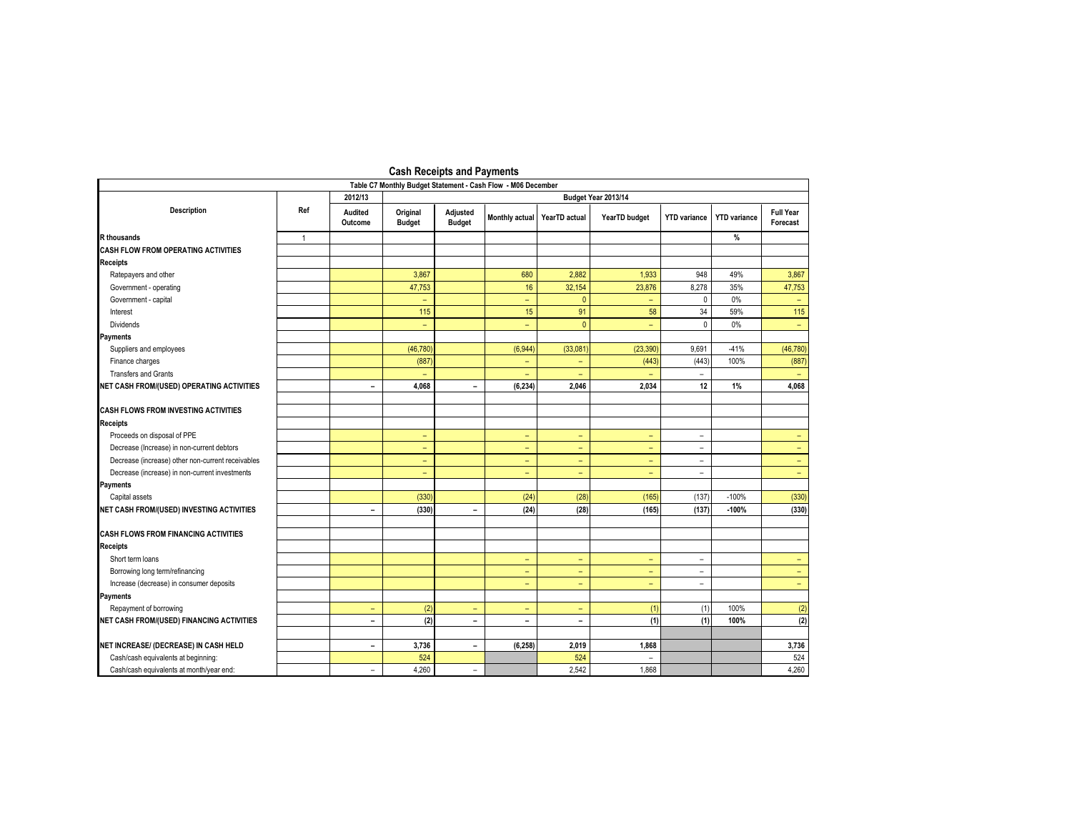|                                                   |                                                                                                |                          |                           | <b>PROFIT INCOCIPIO GITA I AVITICITIO</b> |                          |                          |                          |                          |                     |                              |  |
|---------------------------------------------------|------------------------------------------------------------------------------------------------|--------------------------|---------------------------|-------------------------------------------|--------------------------|--------------------------|--------------------------|--------------------------|---------------------|------------------------------|--|
|                                                   | Table C7 Monthly Budget Statement - Cash Flow - M06 December<br>2012/13<br>Budget Year 2013/14 |                          |                           |                                           |                          |                          |                          |                          |                     |                              |  |
| <b>Description</b>                                | Ref                                                                                            | Audited<br>Outcome       | Original<br><b>Budget</b> | Adjusted<br><b>Budget</b>                 | Monthly actual           | YearTD actual            | YearTD budget            | <b>YTD</b> variance      | <b>YTD</b> variance | <b>Full Year</b><br>Forecast |  |
| <b>R</b> thousands                                | $\mathbf{1}$                                                                                   |                          |                           |                                           |                          |                          |                          |                          | %                   |                              |  |
| <b>CASH FLOW FROM OPERATING ACTIVITIES</b>        |                                                                                                |                          |                           |                                           |                          |                          |                          |                          |                     |                              |  |
| <b>Receipts</b>                                   |                                                                                                |                          |                           |                                           |                          |                          |                          |                          |                     |                              |  |
| Ratepayers and other                              |                                                                                                |                          | 3,867                     |                                           | 680                      | 2,882                    | 1,933                    | 948                      | 49%                 | 3,867                        |  |
| Government - operating                            |                                                                                                |                          | 47,753                    |                                           | 16                       | 32,154                   | 23,876                   | 8,278                    | 35%                 | 47,753                       |  |
| Government - capital                              |                                                                                                |                          |                           |                                           | $\equiv$                 | $\mathbf{0}$             | $\equiv$                 | $\mathbf{0}$             | 0%                  |                              |  |
| Interest                                          |                                                                                                |                          | 115                       |                                           | 15                       | 91                       | 58                       | 34                       | 59%                 | 115                          |  |
| <b>Dividends</b>                                  |                                                                                                |                          | $\overline{\phantom{a}}$  |                                           | $\equiv$                 | $\mathbf{0}$             | $\equiv$                 | $\mathbf{0}$             | 0%                  | $\rightarrow$                |  |
| Payments                                          |                                                                                                |                          |                           |                                           |                          |                          |                          |                          |                     |                              |  |
| Suppliers and employees                           |                                                                                                |                          | (46, 780)                 |                                           | (6,944)                  | (33,081)                 | (23, 390)                | 9,691                    | $-41%$              | (46, 780)                    |  |
| Finance charges                                   |                                                                                                |                          | (887)                     |                                           | $\overline{\phantom{a}}$ | ٠                        | (443)                    | (443)                    | 100%                | (887)                        |  |
| <b>Transfers and Grants</b>                       |                                                                                                |                          |                           |                                           | $\equiv$                 | ۳                        |                          |                          |                     |                              |  |
| NET CASH FROM/(USED) OPERATING ACTIVITIES         |                                                                                                | $\equiv$                 | 4,068                     | $\blacksquare$                            | (6, 234)                 | 2,046                    | 2,034                    | 12                       | 1%                  | 4,068                        |  |
| <b>CASH FLOWS FROM INVESTING ACTIVITIES</b>       |                                                                                                |                          |                           |                                           |                          |                          |                          |                          |                     |                              |  |
| <b>Receipts</b>                                   |                                                                                                |                          |                           |                                           |                          |                          |                          |                          |                     |                              |  |
| Proceeds on disposal of PPE                       |                                                                                                |                          | $\overline{\phantom{a}}$  |                                           | $\equiv$                 | Ξ.                       | $\equiv$                 | $\overline{\phantom{a}}$ |                     |                              |  |
| Decrease (Increase) in non-current debtors        |                                                                                                |                          | ٠                         |                                           | $\equiv$                 | ۰                        | $\equiv$                 | $\overline{\phantom{a}}$ |                     | -                            |  |
| Decrease (increase) other non-current receivables |                                                                                                |                          | $\overline{\phantom{a}}$  |                                           | $\equiv$                 | ÷                        | $\equiv$                 | ÷.                       |                     |                              |  |
| Decrease (increase) in non-current investments    |                                                                                                |                          | $\equiv$                  |                                           | ÷                        | ÷                        | $\equiv$                 | ÷.                       |                     | ÷                            |  |
| Payments                                          |                                                                                                |                          |                           |                                           |                          |                          |                          |                          |                     |                              |  |
| Capital assets                                    |                                                                                                |                          | (330)                     |                                           | (24)                     | (28)                     | (165)                    | (137)                    | $-100%$             | (330)                        |  |
| NET CASH FROM/(USED) INVESTING ACTIVITIES         |                                                                                                | $\blacksquare$           | (330)                     | $\overline{\phantom{a}}$                  | (24)                     | (28)                     | (165)                    | (137)                    | $-100%$             | (330)                        |  |
| <b>CASH FLOWS FROM FINANCING ACTIVITIES</b>       |                                                                                                |                          |                           |                                           |                          |                          |                          |                          |                     |                              |  |
| <b>Receipts</b>                                   |                                                                                                |                          |                           |                                           |                          |                          |                          |                          |                     |                              |  |
| Short term loans                                  |                                                                                                |                          |                           |                                           | $\overline{\phantom{a}}$ | ÷                        | $\overline{\phantom{a}}$ | $\overline{\phantom{a}}$ |                     |                              |  |
| Borrowing long term/refinancing                   |                                                                                                |                          |                           |                                           | $\equiv$                 | ÷.                       | $\equiv$                 | $\overline{\phantom{a}}$ |                     | $\sim$                       |  |
| Increase (decrease) in consumer deposits          |                                                                                                |                          |                           |                                           | $\overline{\phantom{a}}$ | -                        | ٠                        | $\overline{\phantom{a}}$ |                     | $\equiv$ .                   |  |
| <b>Payments</b>                                   |                                                                                                |                          |                           |                                           |                          |                          |                          |                          |                     |                              |  |
| Repayment of borrowing                            |                                                                                                | $\qquad \qquad -$        | (2)                       | $\qquad \qquad -$                         | $\overline{\phantom{a}}$ | ۰                        | (1)                      | (1)                      | 100%                | (2)                          |  |
| <b>NET CASH FROM/(USED) FINANCING ACTIVITIES</b>  |                                                                                                | $\blacksquare$           | (2)                       | $\blacksquare$                            | $\blacksquare$           | $\overline{\phantom{0}}$ | (1)                      | (1)                      | 100%                | (2)                          |  |
| NET INCREASE/ (DECREASE) IN CASH HELD             |                                                                                                | $\blacksquare$           | 3,736                     | $\blacksquare$                            | (6, 258)                 | 2,019                    | 1,868                    |                          |                     | 3,736                        |  |
| Cash/cash equivalents at beginning:               |                                                                                                |                          | 524                       |                                           |                          | 524                      | $\overline{\phantom{a}}$ |                          |                     | 524                          |  |
| Cash/cash equivalents at month/year end:          |                                                                                                | $\overline{\phantom{a}}$ | 4.260                     | $\overline{\phantom{a}}$                  |                          | 2.542                    | 1.868                    |                          |                     | 4,260                        |  |

## **Cash Receipts and Payments**